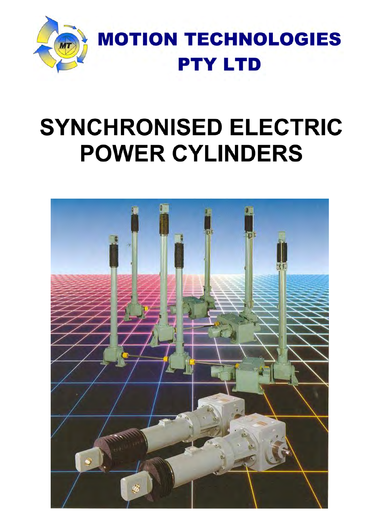

# **SYNCHRONISED ELECTRIC POWER CYLINDERS**

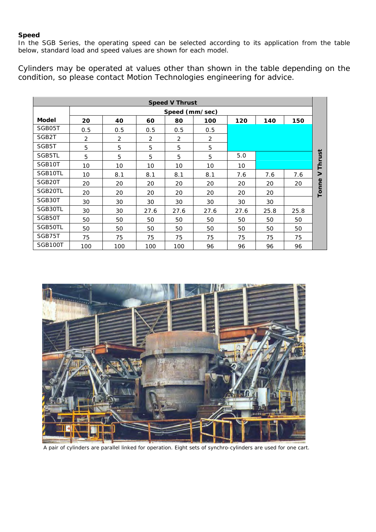#### **Speed**

In the SGB Series, the operating speed can be selected according to its application from the table below, standard load and speed values are shown for each model.

Cylinders may be operated at values other than shown in the table depending on the condition, so please contact Motion Technologies engineering for advice.

|                     | <b>Speed V Thrust</b> |                  |      |                |      |      |      |      |        |  |  |  |  |  |  |
|---------------------|-----------------------|------------------|------|----------------|------|------|------|------|--------|--|--|--|--|--|--|
|                     |                       |                  |      | Speed (mm/sec) |      |      |      |      |        |  |  |  |  |  |  |
| Model               | 20                    | 40               | 60   | 80             | 100  | 120  | 140  | 150  |        |  |  |  |  |  |  |
| SGB05T              | 0.5                   | 0.5              | 0.5  | 0.5            | 0.5  |      |      |      |        |  |  |  |  |  |  |
| SGB <sub>2</sub> T  | 2                     | $\overline{2}$   | 2    | 2              | 2    |      |      |      |        |  |  |  |  |  |  |
| SGB5T               | 5                     | 5<br>5<br>5<br>5 |      |                |      |      |      |      |        |  |  |  |  |  |  |
| SGB5TL              | 5                     | 5                | 5    | 5              | 5    | 5.0  |      |      | Thrust |  |  |  |  |  |  |
| SGB10T              | 10                    | 10               | 10   | 10             | 10   | 10   |      |      |        |  |  |  |  |  |  |
| SGB10TL             | 10                    | 8.1              | 8.1  | 8.1            | 8.1  | 7.6  | 7.6  | 7.6  | $\geq$ |  |  |  |  |  |  |
| SGB <sub>20</sub> T | 20                    | 20               | 20   | 20             | 20   | 20   | 20   | 20   | Tonne  |  |  |  |  |  |  |
| SGB20TL             | 20                    | 20               | 20   | 20             | 20   | 20   | 20   |      |        |  |  |  |  |  |  |
| SGB30T              | 30                    | 30               | 30   | 30             | 30   | 30   | 30   |      |        |  |  |  |  |  |  |
| SGB30TL             | 30                    | 30               | 27.6 | 27.6           | 27.6 | 27.6 | 25.8 | 25.8 |        |  |  |  |  |  |  |
| SGB50T              | 50                    | 50               | 50   | 50             | 50   | 50   | 50   | 50   |        |  |  |  |  |  |  |
| SGB50TL             | 50                    | 50               | 50   | 50             | 50   | 50   | 50   | 50   |        |  |  |  |  |  |  |
| SGB75T              | 75                    | 75               | 75   | 75             | 75   | 75   | 75   | 75   |        |  |  |  |  |  |  |
| SGB100T             | 100                   | 100              | 100  | 100            | 96   | 96   | 96   | 96   |        |  |  |  |  |  |  |



A pair of cylinders are parallel linked for operation. Eight sets of synchro-cylinders are used for one cart.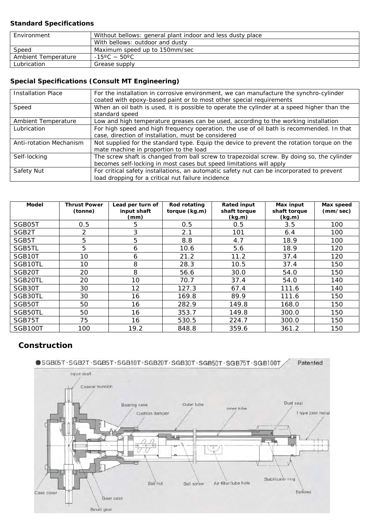#### **Standard Specifications**

| Environment         | Without bellows: general plant indoor and less dusty place |
|---------------------|------------------------------------------------------------|
|                     | With bellows: outdoor and dusty                            |
| Speed               | Maximum speed up to 150mm/sec                              |
| Ambient Temperature | $-15^{\circ}$ C $\sim$ 50 $^{\circ}$ C                     |
| Lubrication         | Grease supply                                              |

## **Special Specifications (Consult MT Engineering)**

| <b>Installation Place</b> | For the installation in corrosive environment, we can manufacture the synchro-cylinder<br>coated with epoxy-based paint or to most other special requirements     |
|---------------------------|-------------------------------------------------------------------------------------------------------------------------------------------------------------------|
| Speed                     | When an oil bath is used, it is possible to operate the cylinder at a speed higher than the<br>standard speed                                                     |
| Ambient Temperature       | Low and high temperature greases can be used, according to the working installation                                                                               |
| Lubrication               | For high speed and high frequency operation, the use of oil bath is recommended. In that                                                                          |
|                           | case, direction of installation, must be considered                                                                                                               |
| Anti-rotation Mechanism   | Not supplied for the standard type. Equip the device to prevent the rotation torque on the<br>mate machine in proportion to the load                              |
| Self-locking              | The screw shaft is changed from ball screw to trapezoidal screw. By doing so, the cylinder<br>becomes self-locking in most cases but speed limitations will apply |
| Safety Nut                | For critical safety installations, an automatic safety nut can be incorporated to prevent                                                                         |
|                           | load dropping for a critical nut failure incidence                                                                                                                |

| Model   | <b>Thrust Power</b><br>(tonne) | Lead per turn of<br>input shaft<br>(mm) | Rod rotating<br>torque (kg.m) | <b>Rated input</b><br>shaft torque<br>(kg.m) | Max input<br>shaft torque<br>(kg.m) | Max speed<br>(mm/sec) |
|---------|--------------------------------|-----------------------------------------|-------------------------------|----------------------------------------------|-------------------------------------|-----------------------|
| SGB05T  | 0.5                            | 5                                       | 0.5                           | 0.5                                          | 3.5                                 | 100                   |
| SGB2T   | 2                              | 3                                       | 2.1                           | 101                                          | 6.4                                 | 100                   |
| SGB5T   | 5                              | 5                                       | 8.8                           | 4.7                                          | 18.9                                | 100                   |
| SGB5TL  | 5                              | 6                                       | 10.6                          | 5.6                                          | 18.9                                | 120                   |
| SGB10T  | 10                             | 6                                       | 21.2                          | 11.2                                         | 37.4                                | 120                   |
| SGB10TL | 10                             | 8                                       | 28.3                          | 10.5                                         | 37.4                                | 150                   |
| SGB20T  | 20                             | 8                                       | 56.6                          | 30.0                                         | 54.0                                | 150                   |
| SGB20TL | 20                             | 10                                      | 70.7                          | 37.4                                         | 54.0                                | 140                   |
| SGB30T  | 30                             | 12                                      | 127.3                         | 67.4                                         | 111.6                               | 140                   |
| SGB30TL | 30                             | 16                                      | 169.8                         | 89.9                                         | 111.6                               | 150                   |
| SGB50T  | 50                             | 16                                      | 282.9                         | 149.8                                        | 168.0                               | 150                   |
| SGB50TL | 50                             | 16                                      | 353.7                         | 149.8                                        | 300.0                               | 150                   |
| SGB75T  | 75                             | 16                                      | 530.5                         | 224.7                                        | 300.0                               | 150                   |
| SGB100T | 100                            | 19.2                                    | 848.8                         | 359.6                                        | 361.2                               | 150                   |

### **Construction**